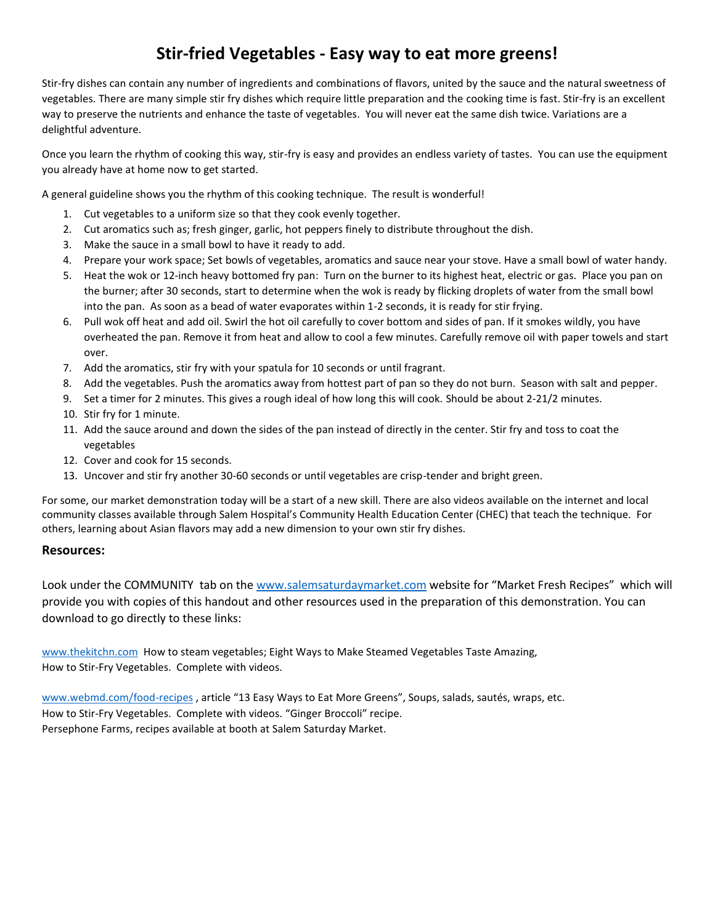# **Stir-fried Vegetables - Easy way to eat more greens!**

Stir-fry dishes can contain any number of ingredients and combinations of flavors, united by the sauce and the natural sweetness of vegetables. There are many simple stir fry dishes which require little preparation and the cooking time is fast. Stir-fry is an excellent way to preserve the nutrients and enhance the taste of vegetables. You will never eat the same dish twice. Variations are a delightful adventure.

Once you learn the rhythm of cooking this way, stir-fry is easy and provides an endless variety of tastes. You can use the equipment you already have at home now to get started.

A general guideline shows you the rhythm of this cooking technique. The result is wonderful!

- 1. Cut vegetables to a uniform size so that they cook evenly together.
- 2. Cut aromatics such as; fresh ginger, garlic, hot peppers finely to distribute throughout the dish.
- 3. Make the sauce in a small bowl to have it ready to add.
- 4. Prepare your work space; Set bowls of vegetables, aromatics and sauce near your stove. Have a small bowl of water handy.
- 5. Heat the wok or 12-inch heavy bottomed fry pan: Turn on the burner to its highest heat, electric or gas. Place you pan on the burner; after 30 seconds, start to determine when the wok is ready by flicking droplets of water from the small bowl into the pan. As soon as a bead of water evaporates within 1-2 seconds, it is ready for stir frying.
- 6. Pull wok off heat and add oil. Swirl the hot oil carefully to cover bottom and sides of pan. If it smokes wildly, you have overheated the pan. Remove it from heat and allow to cool a few minutes. Carefully remove oil with paper towels and start over.
- 7. Add the aromatics, stir fry with your spatula for 10 seconds or until fragrant.
- 8. Add the vegetables. Push the aromatics away from hottest part of pan so they do not burn. Season with salt and pepper.
- 9. Set a timer for 2 minutes. This gives a rough ideal of how long this will cook. Should be about 2-21/2 minutes.
- 10. Stir fry for 1 minute.
- 11. Add the sauce around and down the sides of the pan instead of directly in the center. Stir fry and toss to coat the vegetables
- 12. Cover and cook for 15 seconds.
- 13. Uncover and stir fry another 30-60 seconds or until vegetables are crisp-tender and bright green.

For some, our market demonstration today will be a start of a new skill. There are also videos available on the internet and local community classes available through Salem Hospital's Community Health Education Center (CHEC) that teach the technique. For others, learning about Asian flavors may add a new dimension to your own stir fry dishes.

#### **Resources:**

Look under the COMMUNITY tab on th[e www.salemsaturdaymarket.com](http://www.salemsaturdaymarket.com/) website for "Market Fresh Recipes" which will provide you with copies of this handout and other resources used in the preparation of this demonstration. You can download to go directly to these links:

[www.thekitchn.com](http://www.thekitchn.com/) How to steam vegetables; Eight Ways to Make Steamed Vegetables Taste Amazing, How to Stir-Fry Vegetables. Complete with videos.

[www.webmd.com/food-recipes](http://www.webmd.com/food-recipes) , article "13 Easy Ways to Eat More Greens", Soups, salads, sautés, wraps, etc. How to Stir-Fry Vegetables. Complete with videos. "Ginger Broccoli" recipe. Persephone Farms, recipes available at booth at Salem Saturday Market.